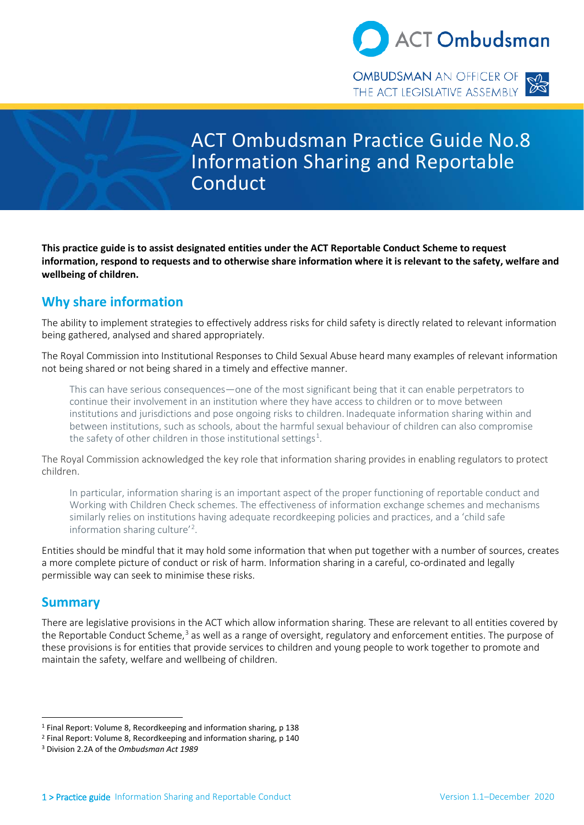

ACT Ombudsman Practice Guide No.8 Information Sharing and Reportable Conduct

 **This practice guide is to assist designated entities under the ACT Reportable Conduct Scheme to request information, respond to requests and to otherwise share information where it is relevant to the safety, welfare and wellbeing of children.** 

# **Why share information**

 The ability to implement strategies to effectively address risks for child safety is directly related to relevant information being gathered, analysed and shared appropriately.

The Royal Commission into Institutional Responses to Child Sexual Abuse heard many examples of relevant information not being shared or not being shared in a timely and effective manner.

 This can have serious consequences—one of the most significant being that it can enable perpetrators to continue their involvement in an institution where they have access to children or to move between between institutions, such as schools, about the harmful sexual behaviour of children can also compromise institutions and jurisdictions and pose ongoing risks to children. Inadequate information sharing within and the safety of other children in those institutional settings<sup>[1](#page-0-0)</sup>.

The Royal Commission acknowledged the key role that information sharing provides in enabling regulators to protect children.

 In particular, information sharing is an important aspect of the proper functioning of reportable conduct and Working with Children Check schemes. The effectiveness of information exchange schemes and mechanisms similarly relies on institutions having adequate recordkeeping policies and practices, and a 'child safe information sharing culture' [2](#page-0-1) .

 a more complete picture of conduct or risk of harm. Information sharing in a careful, co-ordinated and legally Entities should be mindful that it may hold some information that when put together with a number of sources, creates permissible way can seek to minimise these risks.

# **Summary**

l

the Reportable Conduct Scheme,<sup>[3](#page-0-2)</sup> as well as a range of oversight, regulatory and enforcement entities. The purpose of There are legislative provisions in the ACT which allow information sharing. These are relevant to all entities covered by these provisions is for entities that provide services to children and young people to work together to promote and maintain the safety, welfare and wellbeing of children.

<span id="page-0-0"></span><sup>1</sup> Final Report: Volume 8, Recordkeeping and information sharing, p 138

<span id="page-0-1"></span><sup>2</sup> Final Report: Volume 8, Recordkeeping and information sharing, p 140

<span id="page-0-2"></span><sup>3</sup> Division 2.2A of the *Ombudsman Act 1989*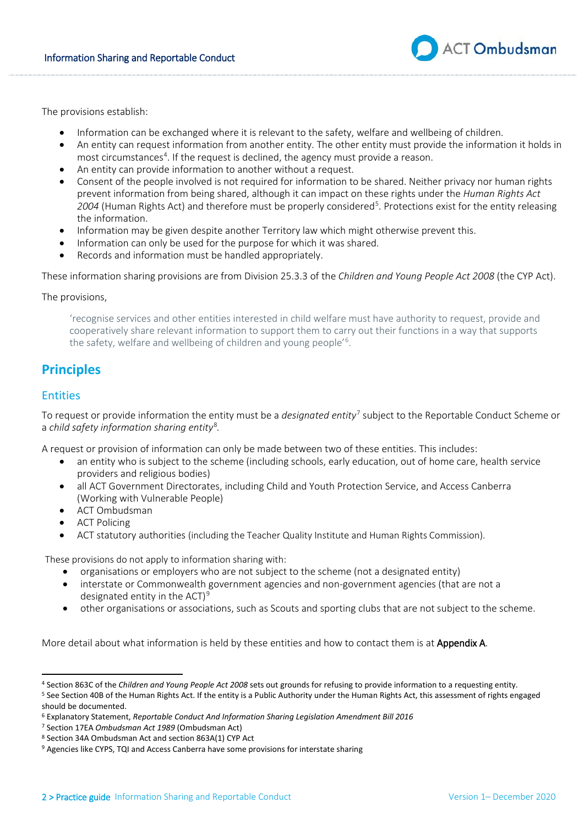

The provisions establish:

- Information can be exchanged where it is relevant to the safety, welfare and wellbeing of children.
- • An entity can request information from another entity. The other entity must provide the information it holds in most circumstances<sup>[4](#page-1-0)</sup>. If the request is declined, the agency must provide a reason.
- An entity can provide information to another without a request.
- • Consent of the people involved is not required for information to be shared. Neither privacy nor human rights prevent information from being shared, although it can impact on these rights under the *Human Rights Act* 2004 (Human Rights Act) and therefore must be properly considered<sup>[5](#page-1-1)</sup>. Protections exist for the entity releasing the information.
- Information may be given despite another Territory law which might otherwise prevent this.
- Information can only be used for the purpose for which it was shared.
- Records and information must be handled appropriately.

These information sharing provisions are from Division 25.3.3 of the *[Children and Young People Act 2008](http://www.legislation.act.gov.au/a/2008-19/default.asp)* (the CYP Act).

#### The provisions,

 cooperatively share relevant information to support them to carry out their functions in a way that supports 'recognise services and other entities interested in child welfare must have authority to request, provide and the safety, welfare and wellbeing of children and young people'<sup>[6](#page-1-2)</sup>.

# **Principles**

## Entities

l

 To request or provide information the entity must be a *designated entity*[7](#page-1-3) subject to the Reportable Conduct Scheme or a *child safety information sharing entity<sup>[8](#page-1-4)</sup>.* 

A request or provision of information can only be made between two of these entities. This includes:

- an entity who is subject to the scheme (including schools, early education, out of home care, health service providers and religious bodies)
- all ACT Government Directorates, including Child and Youth Protection Service, and Access Canberra (Working with Vulnerable People)
- ACT Ombudsman
- ACT Policing
- ACT statutory authorities (including the Teacher Quality Institute and Human Rights Commission).

These provisions do not apply to information sharing with:

- organisations or employers who are not subject to the scheme (not a designated entity)
- interstate or Commonwealth government agencies and non-government agencies (that are not a designated entity in the ACT)<sup>9</sup>
- other organisations or associations, such as Scouts and sporting clubs that are not subject to the scheme.

More detail about what information is held by these entities and how to contact them is at **Appendix A**.

<span id="page-1-0"></span><sup>&</sup>lt;sup>4</sup> Section 863C of the Children and Young People Act 2008 sets out grounds for refusing to provide information to a requesting entity.<br><sup>5</sup> See Section 40B of the Human Rights Act. If the entity is a Public Authority under

<span id="page-1-1"></span>should be documented.

<span id="page-1-2"></span><sup>6</sup> Explanatory Statement, *Reportable Conduct And Information Sharing Legislation Amendment Bill 2016* 

<span id="page-1-3"></span><sup>&</sup>lt;sup>7</sup> Section 17EA Ombudsman Act 1989 (Ombudsman Act)

<span id="page-1-4"></span><sup>&</sup>lt;sup>8</sup> Section 34A Ombudsman Act and section 863A(1) CYP Act

<span id="page-1-5"></span><sup>&</sup>lt;sup>9</sup> Agencies like CYPS, TQI and Access Canberra have some provisions for interstate sharing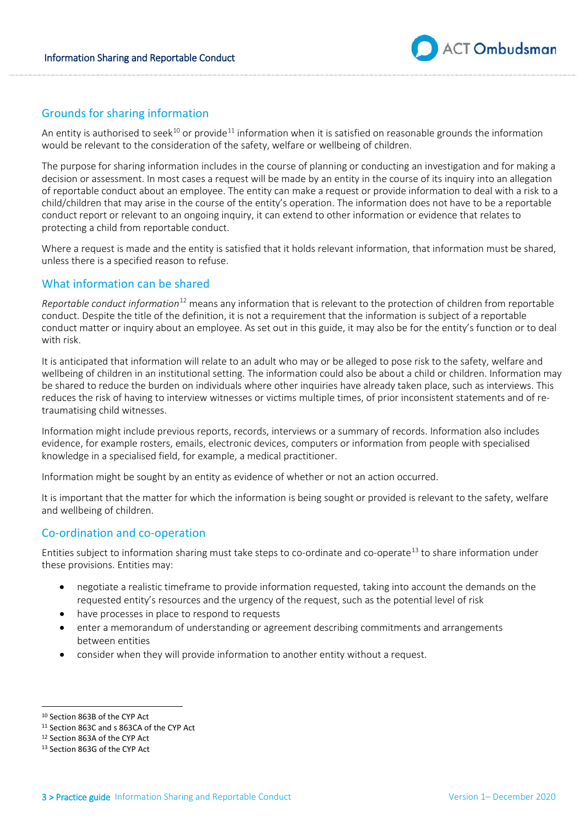

# Grounds for sharing information

An entity is authorised to seek<sup>10</sup> or provide<sup>[11](#page-2-1)</sup> information when it is satisfied on reasonable grounds the information would be relevant to the consideration of the safety, welfare or wellbeing of children.

 The purpose for sharing information includes in the course of planning or conducting an investigation and for making a decision or assessment. In most cases a request will be made by an entity in the course of its inquiry into an allegation child/children that may arise in the course of the entity's operation. The information does not have to be a reportable conduct report or relevant to an ongoing inquiry, it can extend to other information or evidence that relates to protecting a child from reportable conduct. of reportable conduct about an employee. The entity can make a request or provide information to deal with a risk to a

Where a request is made and the entity is satisfied that it holds relevant information, that information must be shared, unless there is a specified reason to refuse.

# What information can be shared

 *Reportable conduct information*[12](#page-2-2) means any information that is relevant to the protection of children from reportable conduct. Despite the title of the definition, it is not a requirement that the information is subject of a reportable conduct matter or inquiry about an employee. As set out in this guide, it may also be for the entity's function or to deal with risk.

 be shared to reduce the burden on individuals where other inquiries have already taken place, such as interviews. This traumatising child witnesses. It is anticipated that information will relate to an adult who may or be alleged to pose risk to the safety, welfare and wellbeing of children in an institutional setting. The information could also be about a child or children. Information may reduces the risk of having to interview witnesses or victims multiple times, of prior inconsistent statements and of re-

traumatising child witnesses.<br>Information might include previous reports, records, interviews or a summary of records. Information also includes evidence, for example rosters, emails, electronic devices, computers or information from people with specialised knowledge in a specialised field, for example, a medical practitioner.

Information might be sought by an entity as evidence of whether or not an action occurred.

 It is important that the matter for which the information is being sought or provided is relevant to the safety, welfare and wellbeing of children.

## Co-ordination and co-operation

 these provisions. Entities may: Entities subject to information sharing must take steps to co-ordinate and co-operate<sup>13</sup> to share information under

- requested entity's resources and the urgency of the request, such as the potential level of risk • negotiate a realistic timeframe to provide information requested, taking into account the demands on the
- have processes in place to respond to requests
- enter a memorandum of understanding or agreement describing commitments and arrangements between entities
- consider when they will provide information to another entity without a request.

<span id="page-2-0"></span><sup>&</sup>lt;sup>10</sup> Section 863B of the CYP Act

<sup>&</sup>lt;sup>10</sup> Section 863B of the CYP Act<br><sup>11</sup> Section 863C and s 863CA of the CYP Act<br><sup>12</sup> Section 863A of the CYP Act<br><sup>13</sup> Section 863G of the CYP Act

<span id="page-2-3"></span><span id="page-2-2"></span><span id="page-2-1"></span><sup>&</sup>lt;sup>12</sup> Section 863A of the CYP Act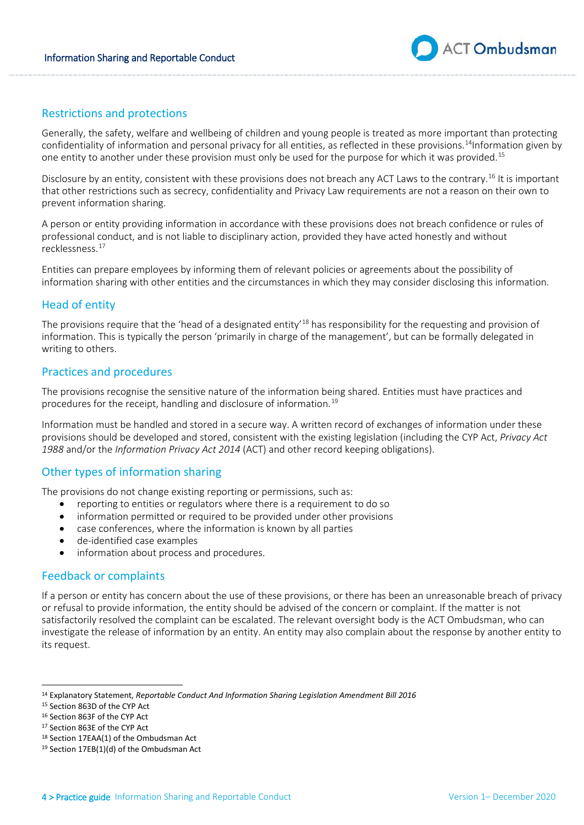

# Restrictions and protections

 Generally, the safety, welfare and wellbeing of children and young people is treated as more important than protecting confidentiality of information and personal privacy for all entities, as reflected in these provisions.<sup>[14](#page-3-0)</sup>Information given by one entity to another under these provision must only be used for the purpose for which it was provided.<sup>15</sup>

Disclosure by an entity, consistent with these provisions does not breach any ACT Laws to the contrary.<sup>[16](#page-3-2)</sup> It is important that other restrictions such as secrecy, confidentiality and Privacy Law requirements are not a reason on their own to prevent information sharing.

 A person or entity providing information in accordance with these provisions does not breach confidence or rules of professional conduct, and is not liable to disciplinary action, provided they have acted honestly and without recklessness. [17](#page-3-3) 

 information sharing with other entities and the circumstances in which they may consider disclosing this information. Entities can prepare employees by informing them of relevant policies or agreements about the possibility of

## Head of entity

The provisions require that the 'head of a designated entity'<sup>[18](#page-3-4)</sup> has responsibility for the requesting and provision of writing to others. information. This is typically the person 'primarily in charge of the management', but can be formally delegated in

# Practices and procedures

 The provisions recognise the sensitive nature of the information being shared. Entities must have practices and procedures for the receipt, handling and disclosure of information. [19](#page-3-5) 

 Information must be handled and stored in a secure way. A written record of exchanges of information under these provisions should be developed and stored, consistent with the existing legislation (including the CYP Act, *Privacy Act 1988* and/or the *Information Privacy Act 2014* (ACT) and other record keeping obligations).

# Other types of information sharing

The provisions do not change existing reporting or permissions, such as:

- reporting to entities or regulators where there is a requirement to do so
- information permitted or required to be provided under other provisions
- case conferences, where the information is known by all parties
- de-identified case examples
- information about process and procedures.

# Feedback or complaints

 If a person or entity has concern about the use of these provisions, or there has been an unreasonable breach of privacy or refusal to provide information, the entity should be advised of the concern or complaint. If the matter is not investigate the release of information by an entity. An entity may also complain about the response by another entity to satisfactorily resolved the complaint can be escalated. The relevant oversight body is the ACT Ombudsman, who can its request.

<span id="page-3-0"></span><sup>14</sup> Explanatory Statement, *Reportable Conduct And Information Sharing Legislation Amendment Bill 2016* 

<span id="page-3-1"></span><sup>&</sup>lt;sup>15</sup> Section 863D of the CYP Act

<span id="page-3-2"></span><sup>&</sup>lt;sup>16</sup> Section 863F of the CYP Act

<span id="page-3-3"></span><sup>&</sup>lt;sup>17</sup> Section 863E of the CYP Act

<span id="page-3-5"></span><span id="page-3-4"></span><sup>&</sup>lt;sup>18</sup> Section 17EAA(1) of the Ombudsman Act

<sup>&</sup>lt;sup>15</sup> Section 863D of the CYP Act<br><sup>16</sup> Section 863F of the CYP Act<br><sup>17</sup> Section 863E of the CYP Act<br><sup>18</sup> Section 17EAA(1) of the Ombudsman Act<br><sup>19</sup> Section 17EB(1)(d) of the Ombudsman Act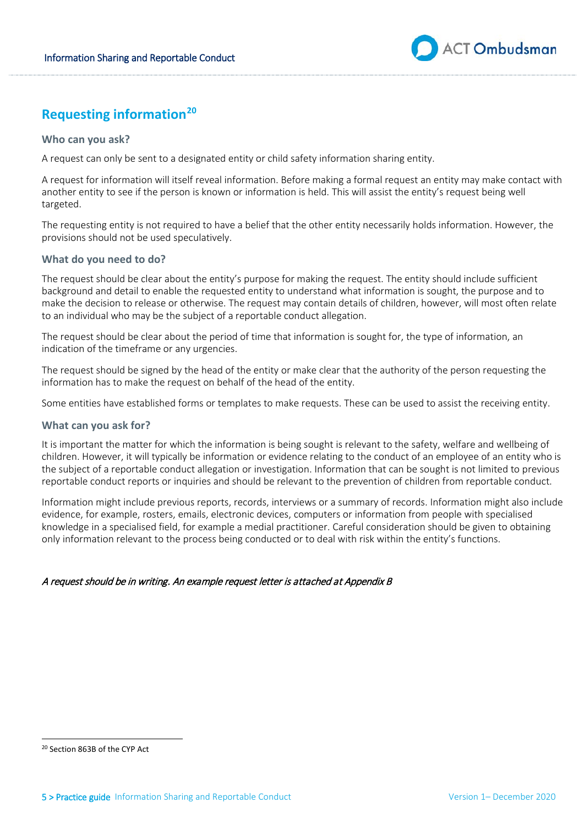

# **Requesting information[20](#page-4-0)**

## **Who can you ask?**

A request can only be sent to a designated entity or child safety information sharing entity.

 A request for information will itself reveal information. Before making a formal request an entity may make contact with another entity to see if the person is known or information is held. This will assist the entity's request being well targeted.

The requesting entity is not required to have a belief that the other entity necessarily holds information. However, the provisions should not be used speculatively.

## **What do you need to do?**

 The request should be clear about the entity's purpose for making the request. The entity should include sufficient background and detail to enable the requested entity to understand what information is sought, the purpose and to to an individual who may be the subject of a reportable conduct allegation. make the decision to release or otherwise. The request may contain details of children, however, will most often relate

The request should be clear about the period of time that information is sought for, the type of information, an indication of the timeframe or any urgencies.

 information has to make the request on behalf of the head of the entity. The request should be signed by the head of the entity or make clear that the authority of the person requesting the

Some entities have established forms or templates to make requests. These can be used to assist the receiving entity.

#### **What can you ask for?**

 children. However, it will typically be information or evidence relating to the conduct of an employee of an entity who is the subject of a reportable conduct allegation or investigation. Information that can be sought is not limited to previous reportable conduct reports or inquiries and should be relevant to the prevention of children from reportable conduct. It is important the matter for which the information is being sought is relevant to the safety, welfare and wellbeing of

 Information might include previous reports, records, interviews or a summary of records. Information might also include evidence, for example, rosters, emails, electronic devices, computers or information from people with specialised knowledge in a specialised field, for example a medial practitioner. Careful consideration should be given to obtaining only information relevant to the process being conducted or to deal with risk within the entity's functions.

## A request should be in writing. An example request letter is attached at Appendix B

<span id="page-4-0"></span><sup>20</sup> Section 863B of the CYP Act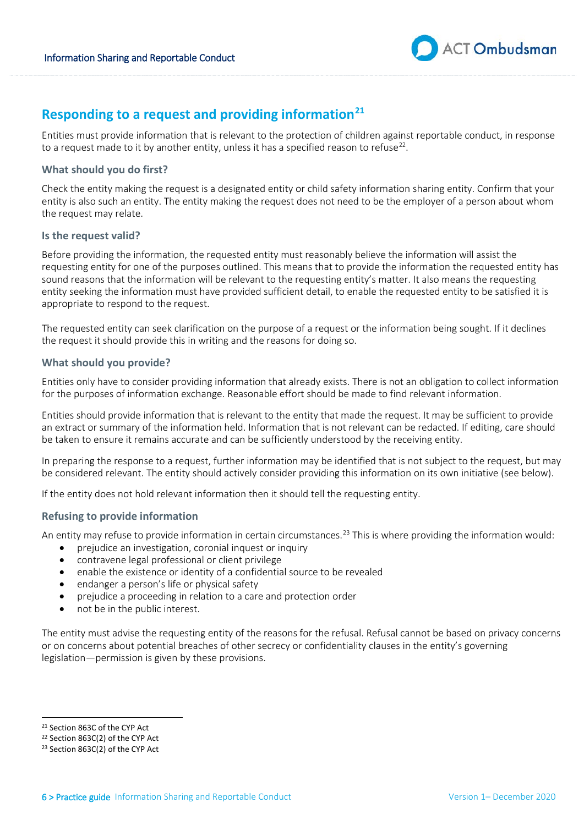

# **Responding to a request and providing information[21](#page-5-0)**

 Entities must provide information that is relevant to the protection of children against reportable conduct, in response to a request made to it by another entity, unless it has a specified reason to refuse<sup>22</sup>.

## **What should you do first?**

 entity is also such an entity. The entity making the request does not need to be the employer of a person about whom Check the entity making the request is a designated entity or child safety information sharing entity. Confirm that your the request may relate.

#### **Is the request valid?**

 entity seeking the information must have provided sufficient detail, to enable the requested entity to be satisfied it is Before providing the information, the requested entity must reasonably believe the information will assist the requesting entity for one of the purposes outlined. This means that to provide the information the requested entity has sound reasons that the information will be relevant to the requesting entity's matter. It also means the requesting appropriate to respond to the request.

 the request it should provide this in writing and the reasons for doing so. The requested entity can seek clarification on the purpose of a request or the information being sought. If it declines

## **What should you provide?**

Entities only have to consider providing information that already exists. There is not an obligation to collect information for the purposes of information exchange. Reasonable effort should be made to find relevant information.

 Entities should provide information that is relevant to the entity that made the request. It may be sufficient to provide be taken to ensure it remains accurate and can be sufficiently understood by the receiving entity. an extract or summary of the information held. Information that is not relevant can be redacted. If editing, care should

be taken to ensure it remains accurate and can be sufficiently understood by the receiving entity.<br>In preparing the response to a request, further information may be identified that is not subject to the request, but may be considered relevant. The entity should actively consider providing this information on its own initiative (see below).

If the entity does not hold relevant information then it should tell the requesting entity.

#### **Refusing to provide information**

An entity may refuse to provide information in certain circumstances.<sup>23</sup> This is where providing the information would:

- prejudice an investigation, coronial inquest or inquiry
- contravene legal professional or client privilege
- enable the existence or identity of a confidential source to be revealed
- endanger a person's life or physical safety
- prejudice a proceeding in relation to a care and protection order
- not be in the public interest.

 The entity must advise the requesting entity of the reasons for the refusal. Refusal cannot be based on privacy concerns or on concerns about potential breaches of other secrecy or confidentiality clauses in the entity's governing legislation—permission is given by these provisions.

<span id="page-5-0"></span><sup>&</sup>lt;sup>21</sup> Section 863C of the CYP Act

<span id="page-5-1"></span> $22$  Section 863C(2) of the CYP Act

<span id="page-5-2"></span><sup>23</sup> Section 863C(2) of the CYP Act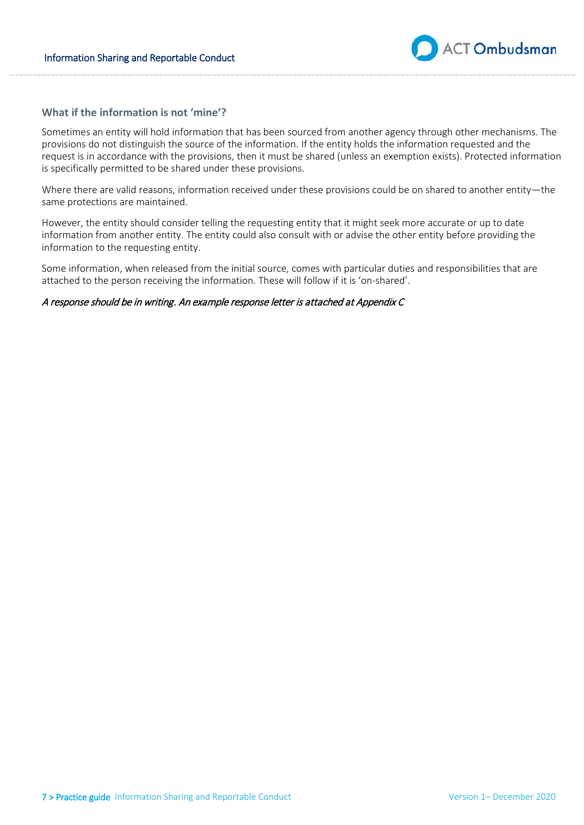

## **What if the information is not 'mine'?**

Sometimes an entity will hold information that has been sourced from another agency through other mechanisms. The provisions do not distinguish the source of the information. If the entity holds the information requested and the request is in accordance with the provisions, then it must be shared (unless an exemption exists). Protected information is specifically permitted to be shared under these provisions.

Where there are valid reasons, information received under these provisions could be on shared to another entity—the same protections are maintained.

 information from another entity. The entity could also consult with or advise the other entity before providing the However, the entity should consider telling the requesting entity that it might seek more accurate or up to date information to the requesting entity.

Some information, when released from the initial source, comes with particular duties and responsibilities that are attached to the person receiving the information. These will follow if it is 'on-shared'.

#### A response should be in writing. An example response letter is attached at Appendix C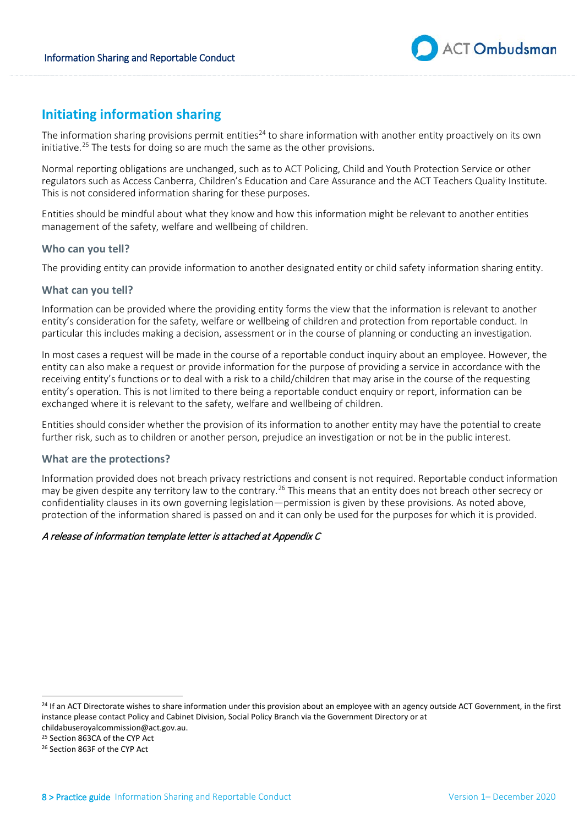

# **Initiating information sharing**

The information sharing provisions permit entities<sup>24</sup> to share information with another entity proactively on its own initiative.<sup>25</sup> The tests for doing so are much the same as the other provisions.

Normal reporting obligations are unchanged, such as to ACT Policing, Child and Youth Protection Service or other regulators such as Access Canberra, Children's Education and Care Assurance and the ACT Teachers Quality Institute. This is not considered information sharing for these purposes.

 Entities should be mindful about what they know and how this information might be relevant to another entities management of the safety, welfare and wellbeing of children.

#### **Who can you tell?**

The providing entity can provide information to another designated entity or child safety information sharing entity.

## **What can you tell?**

Information can be provided where the providing entity forms the view that the information is relevant to another entity's consideration for the safety, welfare or wellbeing of children and protection from reportable conduct. In particular this includes making a decision, assessment or in the course of planning or conducting an investigation.

 In most cases a request will be made in the course of a reportable conduct inquiry about an employee. However, the entity can also make a request or provide information for the purpose of providing a service in accordance with the receiving entity's functions or to deal with a risk to a child/children that may arise in the course of the requesting exchanged where it is relevant to the safety, welfare and wellbeing of children. entity's operation. This is not limited to there being a reportable conduct enquiry or report, information can be

exchanged where it is relevant to the safety, welfare and wellbeing of children.<br>Entities should consider whether the provision of its information to another entity may have the potential to create further risk, such as to children or another person, prejudice an investigation or not be in the public interest.

## **What are the protections?**

 protection of the information shared is passed on and it can only be used for the purposes for which it is provided. Information provided does not breach privacy restrictions and consent is not required. Reportable conduct information may be given despite any territory law to the contrary.<sup>26</sup> This means that an entity does not breach other secrecy or confidentiality clauses in its own governing legislation—permission is given by these provisions. As noted above,

## A release of information template letter is attached at Appendix C

 $\overline{\phantom{a}}$ 

<span id="page-7-0"></span><sup>&</sup>lt;sup>24</sup> If an ACT Directorate wishes to share information under this provision about an employee with an agency outside ACT Government, in the first instance please contact Policy and Cabinet Division, Social Policy Branch via the Government Directory or at

<span id="page-7-1"></span>childabuseroyalcommission@act.gov.au.<br><sup>25</sup> Section 863CA of the CYP Act<br><sup>26</sup> Section 863F of the CYP Act

<span id="page-7-2"></span>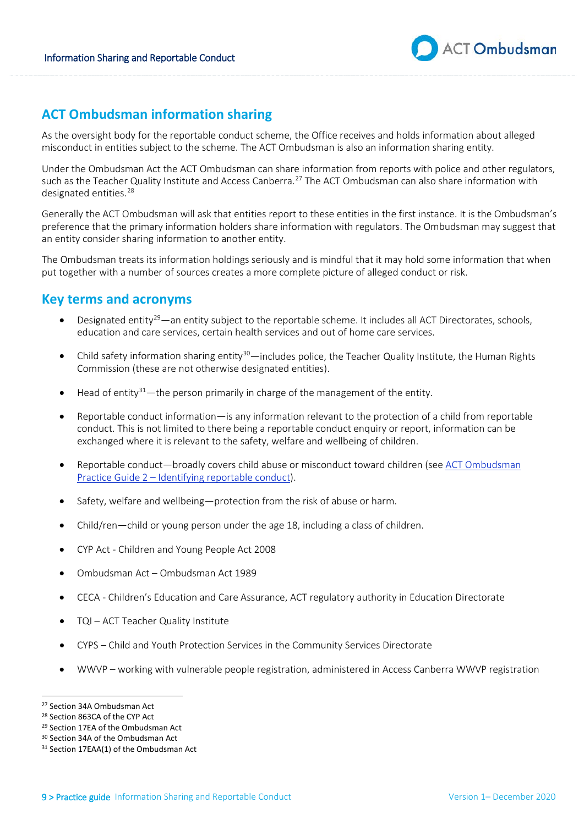

# **ACT Ombudsman information sharing**

 As the oversight body for the reportable conduct scheme, the Office receives and holds information about alleged misconduct in entities subject to the scheme. The ACT Ombudsman is also an information sharing entity.

such as the Teacher Quality Institute and Access Canberra.<sup>[27](#page-8-0)</sup> The ACT Ombudsman can also share information with Under the Ombudsman Act the ACT Ombudsman can share information from reports with police and other regulators, designated entities. [28](#page-8-1) 

 Generally the ACT Ombudsman will ask that entities report to these entities in the first instance. It is the Ombudsman's an entity consider sharing information to another entity. preference that the primary information holders share information with regulators. The Ombudsman may suggest that

 put together with a number of sources creates a more complete picture of alleged conduct or risk. The Ombudsman treats its information holdings seriously and is mindful that it may hold some information that when

# **Key terms and acronyms**

- education and care services, certain health services and out of home care services. Designated entity<sup>29</sup>—an entity subject to the reportable scheme. It includes all ACT Directorates, schools,
- Child safety information sharing entity<sup>[30](#page-8-3)</sup>—includes police, the Teacher Quality Institute, the Human Rights Commission (these are not otherwise designated entities).
- $\bullet$  Head of entity<sup>31</sup>—the person primarily in charge of the management of the entity.
- conduct. This is not limited to there being a reportable conduct enquiry or report, information can be exchanged where it is relevant to the safety, welfare and wellbeing of children. • Reportable conduct information—is any information relevant to the protection of a child from reportable
- Reportable conduct—broadly covers child abuse or misconduct toward children (see [ACT Ombudsman](http://www.ombudsman.act.gov.au/__data/assets/pdf_file/0009/81000/No.-2-Identifying-Reportable-Conduct.pdf) Practice Guide 2 - Identifying reportable conduct).
- Safety, welfare and wellbeing-protection from the risk of abuse or harm.
- Child/ren—child or young person under the age 18, including a class of children.
- CYP Act Children and Young People Act 2008
- Ombudsman Act Ombudsman Act 1989
- CECA Children's Education and Care Assurance, ACT regulatory authority in Education Directorate
- TQI ACT Teacher Quality Institute
- CYPS Child and Youth Protection Services in the Community Services Directorate
- WWVP working with vulnerable people registration, administered in Access Canberra WWVP registration

 $\overline{\phantom{a}}$ <sup>27</sup> Section 34A Ombudsman Act

<span id="page-8-1"></span><span id="page-8-0"></span><sup>&</sup>lt;sup>28</sup> Section 863CA of the CYP Act

<span id="page-8-2"></span>

<span id="page-8-4"></span><span id="page-8-3"></span>

<sup>&</sup>lt;sup>27</sup> Section 34A Ombudsman Act<br><sup>28</sup> Section 863CA of the CYP Act<br><sup>29</sup> Section 17EA of the Ombudsman Act<br><sup>30</sup> Section 34A of the Ombudsman Act<br><sup>31</sup> Section 17EAA(1) of the Ombudsman Act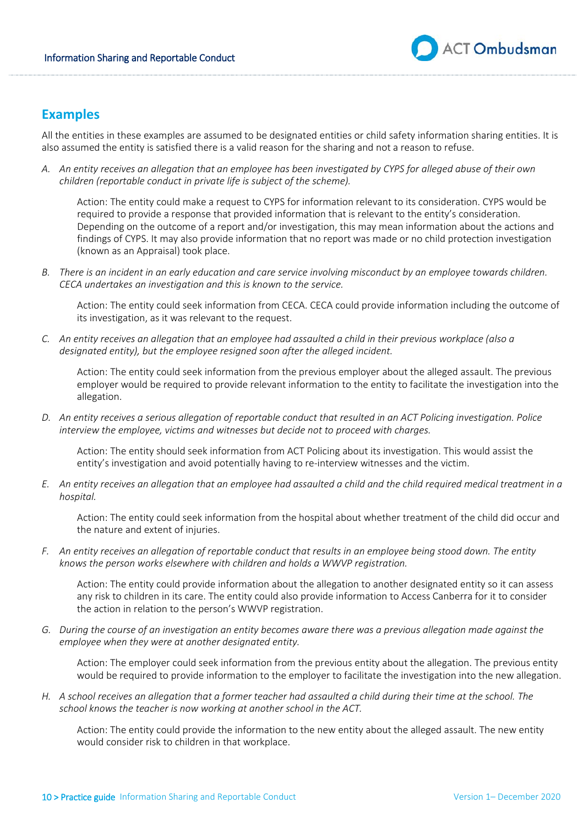

# **Examples**

 All the entities in these examples are assumed to be designated entities or child safety information sharing entities. It is also assumed the entity is satisfied there is a valid reason for the sharing and not a reason to refuse.

 *A. An entity receives an allegation that an employee has been investigated by CYPS for alleged abuse of their own children (reportable conduct in private life is subject of the scheme).* 

 Action: The entity could make a request to CYPS for information relevant to its consideration. CYPS would be Depending on the outcome of a report and/or investigation, this may mean information about the actions and findings of CYPS. It may also provide information that no report was made or no child protection investigation required to provide a response that provided information that is relevant to the entity's consideration. (known as an Appraisal) took place.

B. There is an incident in an early education and care service involving misconduct by an employee towards children.  *CECA undertakes an investigation and this is known to the service.* 

 Action: The entity could seek information from CECA. CECA could provide information including the outcome of its investigation, as it was relevant to the request.

 *C. An entity receives an allegation that an employee had assaulted a child in their previous workplace (also a designated entity), but the employee resigned soon after the alleged incident.* 

 Action: The entity could seek information from the previous employer about the alleged assault. The previous allegation. employer would be required to provide relevant information to the entity to facilitate the investigation into the

 *D. An entity receives a serious allegation of reportable conduct that resulted in an ACT Policing investigation. Police interview the employee, victims and witnesses but decide not to proceed with charges.* 

 Action: The entity should seek information from ACT Policing about its investigation. This would assist the entity's investigation and avoid potentially having to re-interview witnesses and the victim.

 *E. An entity receives an allegation that an employee had assaulted a child and the child required medical treatment in a hospital.* 

 the nature and extent of injuries. Action: The entity could seek information from the hospital about whether treatment of the child did occur and

 *F. An entity receives an allegation of reportable conduct that results in an employee being stood down. The entity knows the person works elsewhere with children and holds a WWVP registration.* 

 any risk to children in its care. The entity could also provide information to Access Canberra for it to consider Action: The entity could provide information about the allegation to another designated entity so it can assess the action in relation to the person's WWVP registration.

*G. During the course of an investigation an entity becomes aware there was a previous allegation made against the employee when they were at another designated entity.* 

Action: The employer could seek information from the previous entity about the allegation. The previous entity would be required to provide information to the employer to facilitate the investigation into the new allegation.

 *H. A school receives an allegation that a former teacher had assaulted a child during their time at the school. The school knows the teacher is now working at another school in the ACT.* 

would consider risk to children in that workplace. Action: The entity could provide the information to the new entity about the alleged assault. The new entity would consider risk to children in that workplace.<br>10 > Practice guide Information Sharing and Reportable Conduct Version 1– December 2020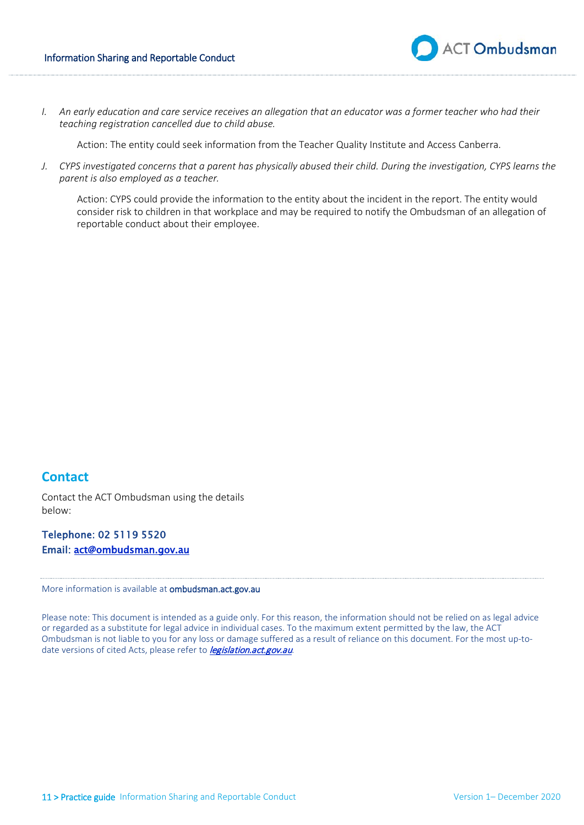

*I. An early education and care service receives an allegation that an educator was a former teacher who had their teaching registration cancelled due to child abuse.*

Action: The entity could seek information from the Teacher Quality Institute and Access Canberra.

 *parent is also employed as a teacher. J. CYPS investigated concerns that a parent has physically abused their child. During the investigation, CYPS learns the*

Action: CYPS could provide the information to the entity about the incident in the report. The entity would consider risk to children in that workplace and may be required to notify the Ombudsman of an allegation of reportable conduct about their employee.

# **Contact**

 Contact the ACT Ombudsman using the details below:

Telephone: [02 5119 5520](mailto:act@ombudsman.gov.au) Email: act@ombudsman.gov.au

More information is available at ombudsman.act.gov.au

 Please note: This document is intended as a guide only. For this reason, the information should not be relied on as legal advice Ombudsman is not liable to you for any loss or damage suffered as a result of reliance on this document. For the most up-toor regarded as a substitute for legal advice in individual cases. To the maximum extent permitted by the law, the ACT date versions of cited Acts, please refer to *[legislation.act.gov.au](http://www.legislation.act.gov.au/).*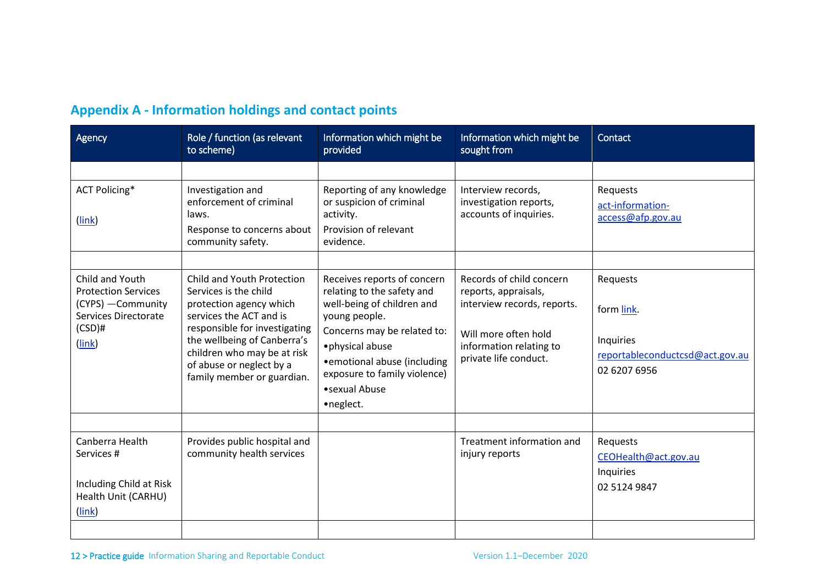| <b>Appendix A - Information holdings and contact points</b> |  |  |  |  |
|-------------------------------------------------------------|--|--|--|--|
|-------------------------------------------------------------|--|--|--|--|

| <b>Agency</b>                                                                                                      | Role / function (as relevant<br>to scheme)                                                                                                                                                                                                                         | Information which might be<br>provided                                                                                                                                                                                                                     | Information which might be<br>sought from                                                                                                                   | Contact                                                                                |
|--------------------------------------------------------------------------------------------------------------------|--------------------------------------------------------------------------------------------------------------------------------------------------------------------------------------------------------------------------------------------------------------------|------------------------------------------------------------------------------------------------------------------------------------------------------------------------------------------------------------------------------------------------------------|-------------------------------------------------------------------------------------------------------------------------------------------------------------|----------------------------------------------------------------------------------------|
|                                                                                                                    |                                                                                                                                                                                                                                                                    |                                                                                                                                                                                                                                                            |                                                                                                                                                             |                                                                                        |
| <b>ACT Policing*</b><br>(link)                                                                                     | Investigation and<br>enforcement of criminal<br>laws.<br>Response to concerns about<br>community safety.                                                                                                                                                           | Reporting of any knowledge<br>or suspicion of criminal<br>activity.<br>Provision of relevant<br>evidence.                                                                                                                                                  | Interview records,<br>investigation reports,<br>accounts of inquiries.                                                                                      | Requests<br>act-information-<br>access@afp.gov.au                                      |
| Child and Youth<br><b>Protection Services</b><br>(CYPS) - Community<br>Services Directorate<br>$(CSD)$ #<br>(link) | Child and Youth Protection<br>Services is the child<br>protection agency which<br>services the ACT and is<br>responsible for investigating<br>the wellbeing of Canberra's<br>children who may be at risk<br>of abuse or neglect by a<br>family member or guardian. | Receives reports of concern<br>relating to the safety and<br>well-being of children and<br>young people.<br>Concerns may be related to:<br>· physical abuse<br>• emotional abuse (including<br>exposure to family violence)<br>• sexual Abuse<br>•neglect. | Records of child concern<br>reports, appraisals,<br>interview records, reports.<br>Will more often hold<br>information relating to<br>private life conduct. | Requests<br>form link.<br>Inquiries<br>reportableconductcsd@act.gov.au<br>02 6207 6956 |
| Canberra Health<br>Services #<br>Including Child at Risk<br>Health Unit (CARHU)<br>(link)                          | Provides public hospital and<br>community health services                                                                                                                                                                                                          |                                                                                                                                                                                                                                                            | Treatment information and<br>injury reports                                                                                                                 | Requests<br>CEOHealth@act.gov.au<br>Inquiries<br>02 5124 9847                          |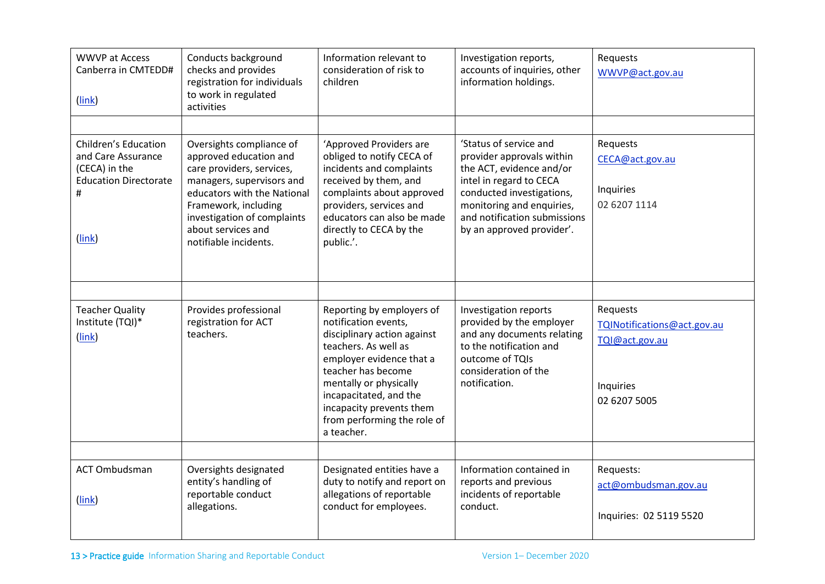| <b>WWVP at Access</b><br>Canberra in CMTEDD#<br>(link)                                                     | Conducts background<br>checks and provides<br>registration for individuals<br>to work in regulated<br>activities                                                                                                                                  | Information relevant to<br>consideration of risk to<br>children                                                                                                                                                                                                                         | Investigation reports,<br>accounts of inquiries, other<br>information holdings.                                                                                                                                                   | Requests<br>WWVP@act.gov.au                                                            |
|------------------------------------------------------------------------------------------------------------|---------------------------------------------------------------------------------------------------------------------------------------------------------------------------------------------------------------------------------------------------|-----------------------------------------------------------------------------------------------------------------------------------------------------------------------------------------------------------------------------------------------------------------------------------------|-----------------------------------------------------------------------------------------------------------------------------------------------------------------------------------------------------------------------------------|----------------------------------------------------------------------------------------|
| Children's Education<br>and Care Assurance<br>(CECA) in the<br><b>Education Directorate</b><br>#<br>(link) | Oversights compliance of<br>approved education and<br>care providers, services,<br>managers, supervisors and<br>educators with the National<br>Framework, including<br>investigation of complaints<br>about services and<br>notifiable incidents. | 'Approved Providers are<br>obliged to notify CECA of<br>incidents and complaints<br>received by them, and<br>complaints about approved<br>providers, services and<br>educators can also be made<br>directly to CECA by the<br>public.'.                                                 | 'Status of service and<br>provider approvals within<br>the ACT, evidence and/or<br>intel in regard to CECA<br>conducted investigations,<br>monitoring and enquiries,<br>and notification submissions<br>by an approved provider'. | Requests<br>CECA@act.gov.au<br>Inquiries<br>02 6207 1114                               |
| <b>Teacher Quality</b><br>Institute (TQI)*<br>(link)                                                       | Provides professional<br>registration for ACT<br>teachers.                                                                                                                                                                                        | Reporting by employers of<br>notification events,<br>disciplinary action against<br>teachers. As well as<br>employer evidence that a<br>teacher has become<br>mentally or physically<br>incapacitated, and the<br>incapacity prevents them<br>from performing the role of<br>a teacher. | Investigation reports<br>provided by the employer<br>and any documents relating<br>to the notification and<br>outcome of TQIs<br>consideration of the<br>notification.                                                            | Requests<br>TQINotifications@act.gov.au<br>TQI@act.gov.au<br>Inquiries<br>02 6207 5005 |
| <b>ACT Ombudsman</b><br>(link)                                                                             | Oversights designated<br>entity's handling of<br>reportable conduct<br>allegations.                                                                                                                                                               | Designated entities have a<br>duty to notify and report on<br>allegations of reportable<br>conduct for employees.                                                                                                                                                                       | Information contained in<br>reports and previous<br>incidents of reportable<br>conduct.                                                                                                                                           | Requests:<br>act@ombudsman.gov.au<br>Inquiries: 02 5119 5520                           |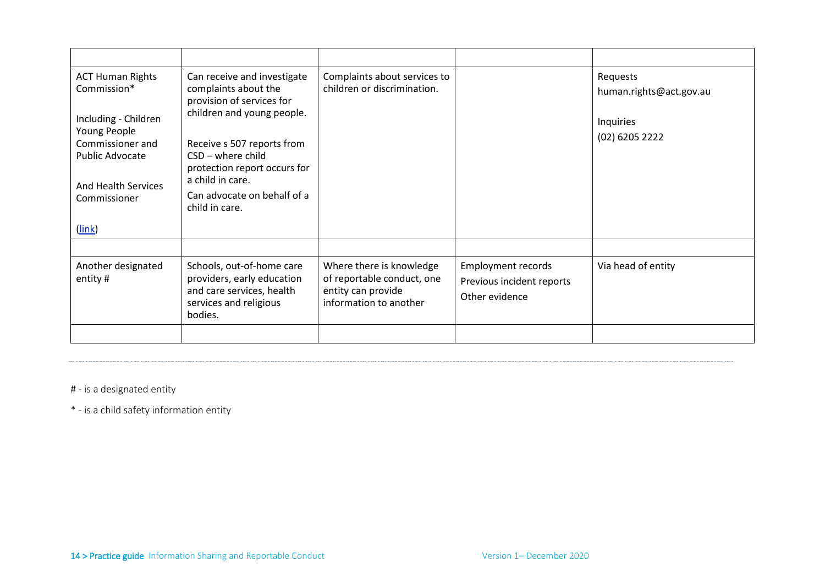| <b>ACT Human Rights</b><br>Commission*<br>Including - Children<br>Young People<br>Commissioner and<br><b>Public Advocate</b><br><b>And Health Services</b><br>Commissioner | Can receive and investigate<br>complaints about the<br>provision of services for<br>children and young people.<br>Receive s 507 reports from<br>$CSD - where child$<br>protection report occurs for<br>a child in care.<br>Can advocate on behalf of a<br>child in care. | Complaints about services to<br>children or discrimination.                                            |                                                                          | Requests<br>human.rights@act.gov.au<br>Inquiries<br>(02) 6205 2222 |
|----------------------------------------------------------------------------------------------------------------------------------------------------------------------------|--------------------------------------------------------------------------------------------------------------------------------------------------------------------------------------------------------------------------------------------------------------------------|--------------------------------------------------------------------------------------------------------|--------------------------------------------------------------------------|--------------------------------------------------------------------|
| (link)                                                                                                                                                                     |                                                                                                                                                                                                                                                                          |                                                                                                        |                                                                          |                                                                    |
|                                                                                                                                                                            |                                                                                                                                                                                                                                                                          |                                                                                                        |                                                                          |                                                                    |
| Another designated<br>entity#                                                                                                                                              | Schools, out-of-home care<br>providers, early education<br>and care services, health<br>services and religious<br>bodies.                                                                                                                                                | Where there is knowledge<br>of reportable conduct, one<br>entity can provide<br>information to another | <b>Employment records</b><br>Previous incident reports<br>Other evidence | Via head of entity                                                 |
|                                                                                                                                                                            |                                                                                                                                                                                                                                                                          |                                                                                                        |                                                                          |                                                                    |

# - is a designated entity

\* - is a child safety information entity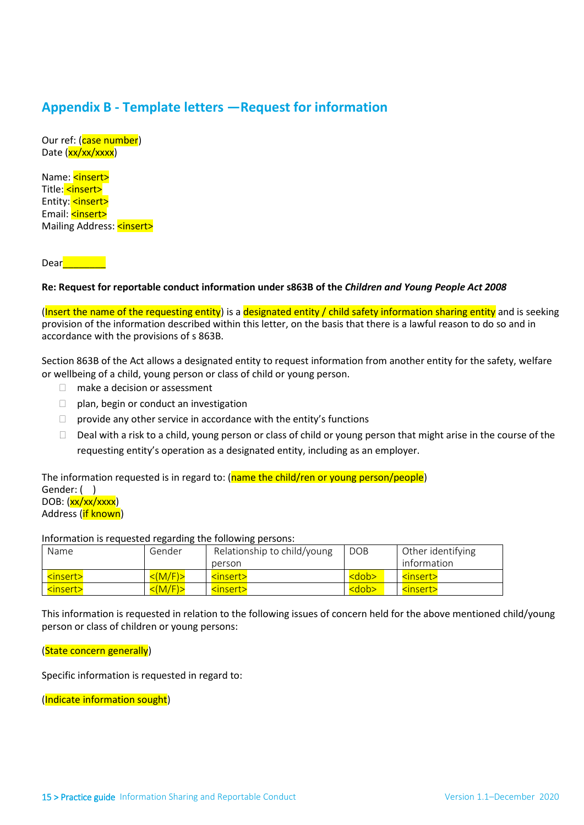# **Appendix B - Template letters —Request for information**

Date (<mark>xx/xx/xxxx</mark>) Our ref: (case number)

Title: <mark><insert></mark> Entity: <mark><insert></mark> kinse Name: **<insert>** Email: **<insert>** Mailing Address: <mark><insert></mark><br>Dear<mark>\_\_\_\_\_\_\_\_\_</mark>

# nig Al<br>|<br>Reque **Re: Request for reportable conduct information under s863B of the** *Children and Young People Act 2008*

 provision of the information described within this letter, on the basis that there is a lawful reason to do so and in accordance with the provisions of s 863B. (Insert the name of the requesting entity) is a designated entity / child safety information sharing entity and is seeking

accordance with the provisions of s 863B.<br>Section 863B of the Act allows a designated entity to request information from another entity for the safety, welfare or wellbeing of a child, young person or class of child or young person.

- □ make a decision or assessment
- $\Box$  plan, begin or conduct an investigation
- $\Box$  provide any other service in accordance with the entity's functions
- $\Box$  Deal with a risk to a child, young person or class of child or young person that might arise in the course of the requesting entity's operation as a designated entity, including as an employer.

Gender: ( ) DOB: (<mark>xx/xx/xxxx</mark>) The information requested is in regard to: (name the child/ren or young person/people) Address (if known)

Information is requested regarding the following persons:

| Name              | Gender        | Relationship to child/young | <b>DOB</b>         | Other identifying |
|-------------------|---------------|-----------------------------|--------------------|-------------------|
|                   |               | person                      |                    | information       |
| <insert></insert> | $<$ (M/F) $>$ | <insert></insert>           | <dob></dob>        | <insert></insert> |
| <insert></insert> | $<$ (M/F) $>$ | <insert></insert>           | <b><dob></dob></b> | <insert></insert> |

 person or class of children or young persons: This information is requested in relation to the following issues of concern held for the above mentioned child/young

(State concern generally)

Specific information is requested in regard to:

(Indicate information sought)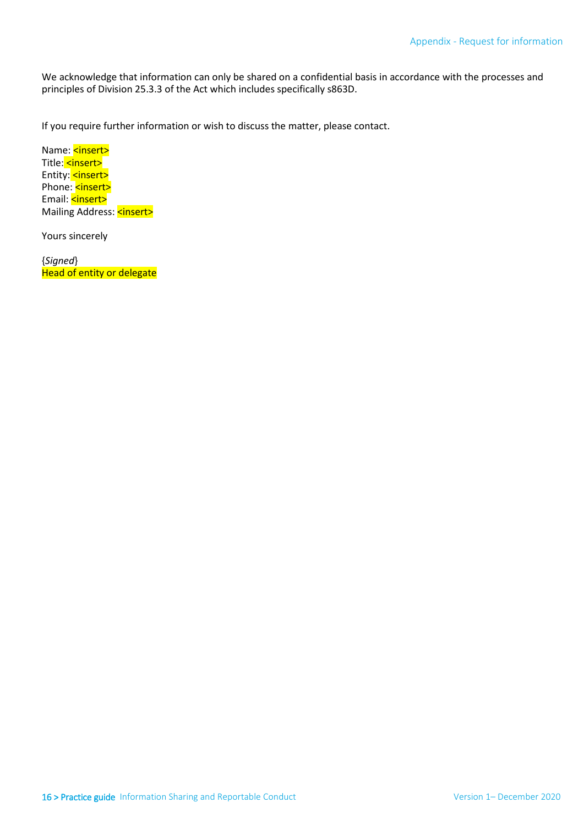principles of Division 25.3.3 of the Act which includes specifically s863D. We acknowledge that information can only be shared on a confidential basis in accordance with the processes and

If you require further information or wish to discuss the matter, please contact.

Title: <mark><insert></mark> Entity: <mark><insert></mark> Entity: Sinsert><br>Phone: <mark><insert></mark><br>Email: <mark><insert></mark><br>Mailing Address: <mark><insert></mark><br>Yours sincerely Name: <insert> Phone: <a> Email: <insert>

 Head of entity or delegate {*Signed*}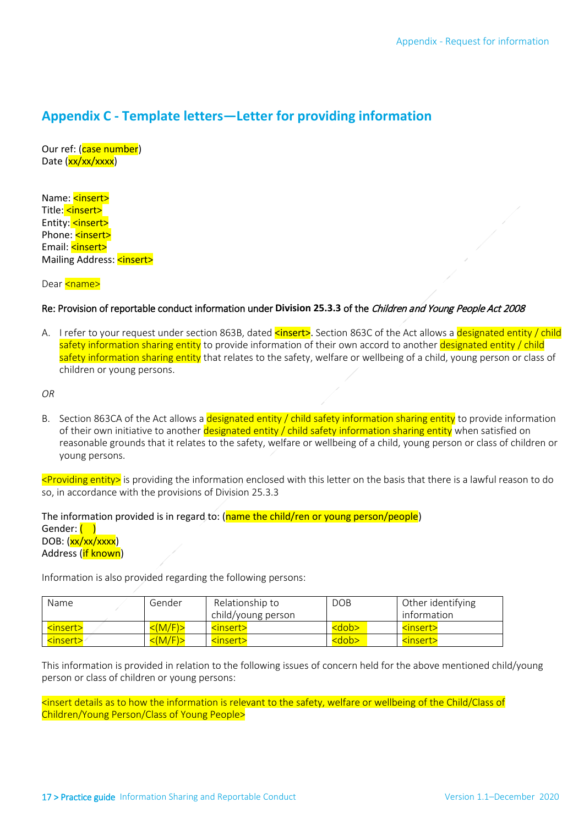# **Appendix C - Template letters—Letter for providing information**

Date (<mark>xx/xx/xxxx</mark>) Our ref: (case number)

Title: <mark><insert></mark> Entity: <mark><insert></mark> kinse r. <mark>kins</mark><br>ng Ad<br><mark><nam</mark><br>rovisio Name: <insert> Phone: <insert> Email: <insert> Mailing Address: <insert>

# Dear <mark><name></mark><br>Re: Provision of reportable conduct information under **Division 25.3.3** of the *Children and Young People Act 2008*

**Divis<br>
<inse<br>
matio<br>
ne saf** A. I refer to your request under section 863B, dated **<insert>**. Section 863C of the Act allows a designated entity / child safety information sharing entity to provide information of their own accord to another <mark>designated entity / child</mark> safety information sharing entity that relates to the safety, welfare or wellbeing of a child, young person or class of children or young persons.

*OR* 

B. Section 863CA of the Act allows a <mark>designated entity / child safety information sharing entity</mark> to provide information of their own initiative to another <mark>designated entity / child safety information sharing entity</mark> when satisfied on reasonable grounds that it relates to the safety, welfare or wellbeing of a child, young person or class of children or young persons.

 <Providing entity> is providing the information enclosed with this letter on the basis that there is a lawful reason to do so, in accordance with the provisions of Division 25.3.3

DOB: (<mark>xx/xx/xxxx</mark>) The information provided is in regard to:  $(name the child/ren or young person/people)$ Gender: ( ) Address (if known)

Information is also provided regarding the following persons:

| <b>Name</b>       | Gender                  | Relationship to<br>child/young person | <b>DOB</b>  | Other identifying<br>information |
|-------------------|-------------------------|---------------------------------------|-------------|----------------------------------|
| <insert></insert> | $\langle (M/F) \rangle$ | <insert></insert>                     | <dob></dob> | <insert></insert>                |
| <insert></insert> | $\leq$ (M/F) $>$        | <insert></insert>                     | <dob></dob> | <insert></insert>                |

This information is provided in relation to the following issues of concern held for the above mentioned child/young person or class of children or young persons:

 <insert details as to how the information is relevant to the safety, welfare or wellbeing of the Child/Class of Children/Young Person/Class of Young People>